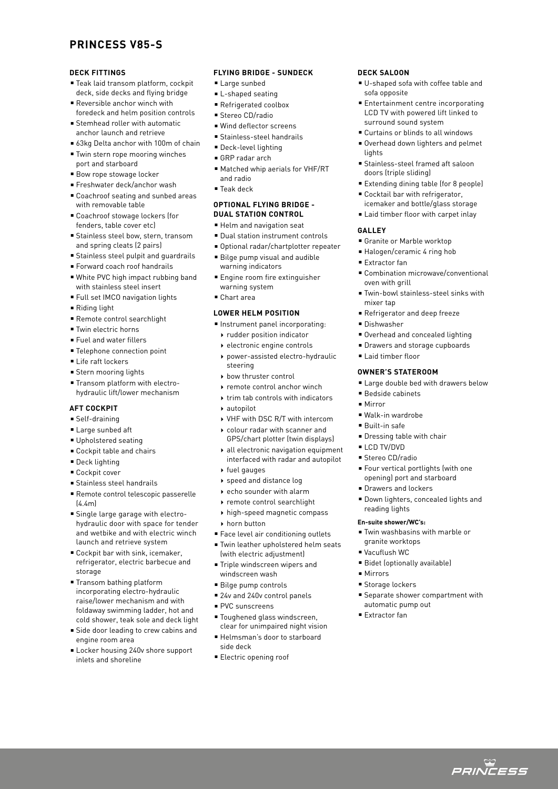## **PRINCESS V85-S**

## **DECK FITTINGS**

- Teak laid transom platform, cockpit deck, side decks and flying bridge
- $\blacksquare$  Reversible anchor winch with foredeck and helm position controls
- **Exemplead roller with automatic** anchor launch and retrieve
- 63kg Delta anchor with 100m of chain
- Twin stern rope mooring winches port and starboard
- **Bow rope stowage locker**
- Freshwater deck/anchor wash
- Coachroof seating and sunbed areas with removable table
- Coachroof stowage lockers (for fenders, table cover etc)
- <sup>n</sup> Stainless steel bow, stern, transom and spring cleats (2 pairs)
- **Stainless steel pulpit and guardrails**
- Forward coach roof handrails
- White PVC high impact rubbing band with stainless steel insert
- <sup>n</sup> Full set IMCO navigation lights
- $\blacksquare$  Riding light
- <sup>n</sup> Remote control searchlight
- **Twin electric horns**
- Fuel and water fillers
- Telephone connection point
- Life raft lockers
- **Stern mooring lights**
- <sup>n</sup> Transom platform with electrohydraulic lift/lower mechanism

## **AFT COCKPIT**

- $Self-drainina$
- <sup>n</sup> Large sunbed aft
- **Upholstered seating**
- Cockpit table and chairs
- Deck lighting
- Cockpit cover
- **s** Stainless steel handrails
- Remote control telescopic passerelle  $(A \text{ km})$
- <sup>n</sup> Single large garage with electrohydraulic door with space for tender and wetbike and with electric winch launch and retrieve system
- Cockpit bar with sink, icemaker, refrigerator, electric barbecue and storage
- Transom bathing platform incorporating electro-hydraulic raise/lower mechanism and with foldaway swimming ladder, hot and cold shower, teak sole and deck light
- **Side door leading to crew cabins and** engine room area
- Locker housing 240v shore support inlets and shoreline

## **FLYING BRIDGE - SUNDECK**

- Large sunbed
- L-shaped seating
- Refrigerated coolbox
- Stereo CD/radio
- Wind deflector screens
- **s** Stainless-steel handrails
- Deck-level lighting
- GRP radar arch
- Matched whip aerials for VHF/RT and radio
- $\blacksquare$  Teak deck

#### **OPTIONAL FLYING BRIDGE - DUAL STATION CONTROL**

- Helm and navigation seat
- Dual station instrument controls
- Optional radar/chartplotter repeater
- Bilge pump visual and audible warning indicators
- Enaine room fire extinguisher warning system
- <sup>n</sup> Chart area

## **LOWER HELM POSITION**

- <sup>n</sup> Instrument panel incorporating:
- rudder position indicator
- electronic engine controls
- power-assisted electro-hydraulic steering
- **b** bow thruster control
- ▶ remote control anchor winch
- $\triangleright$  trim tab controls with indicators
- autopilot
- ▶ VHF with DSC R/T with intercom
- colour radar with scanner and GPS/chart plotter (twin displays)
- all electronic navigation equipment interfaced with radar and autopilot
- fuel gauges
- speed and distance log
- echo sounder with alarm
- remote control searchlight
- $\rightarrow$  high-speed magnetic compass
- **horn** button
- Face level air conditioning outlets
- Twin leather upholstered helm seats (with electric adjustment)
- Triple windscreen wipers and windscreen wash
- Bilge pump controls
- 24v and 240v control panels
- **PVC** sunscreens
- Toughened glass windscreen, clear for unimpaired night vision
- <sup>n</sup> Helmsman's door to starboard side deck
- **Electric opening roof**

## **DECK SALOON**

- <sup>n</sup> U-shaped sofa with coffee table and sofa opposite
- Entertainment centre incorporating LCD TV with powered lift linked to surround sound system
- Curtains or blinds to all windows
- Overhead down lighters and pelmet lights
- <sup>n</sup> Stainless-steel framed aft saloon doors (triple sliding)
- Extending dining table (for 8 people)
- Cocktail bar with refrigerator, icemaker and bottle/glass storage
- **E** Laid timber floor with carpet inlay

#### **GALLEY**

- Granite or Marble worktop
- Halogen/ceramic 4 ring hob
- Extractor fan
- Combination microwave/conventional oven with grill
- Twin-bowl stainless-steel sinks with mixer tap
- <sup>n</sup> Refrigerator and deep freeze

■ Overhead and concealed lighting **• Drawers and storage cupboards** 

**Example 2** Large double bed with drawers below

■ Dishwasher

<sup>n</sup> Laid timber floor

<sup>n</sup> Bedside cabinets

■ Walk-in wardrobe  $\blacksquare$  Built-in safe

**LCD TV/DVD** ■ Stereo CD/radio

reading lights **En-suite shower/WC's:**

granite worktops ■ Vacuflush WC

<sup>n</sup> Mirrors ■ Storage lockers

 $\blacksquare$  Dressing table with chair

■ Four vertical portlights (with one opening) port and starboard **Drawers and lockers** 

Down lighters, concealed lights and

 $\blacksquare$  Twin washbasins with marble or

**Exercise Shower compartment with** 

ت<br>*PRINCESS* 

Bidet (optionally available)

automatic pump out <sup>n</sup> Extractor fan

 $Mirror$ 

**OWNER'S STATEROOM**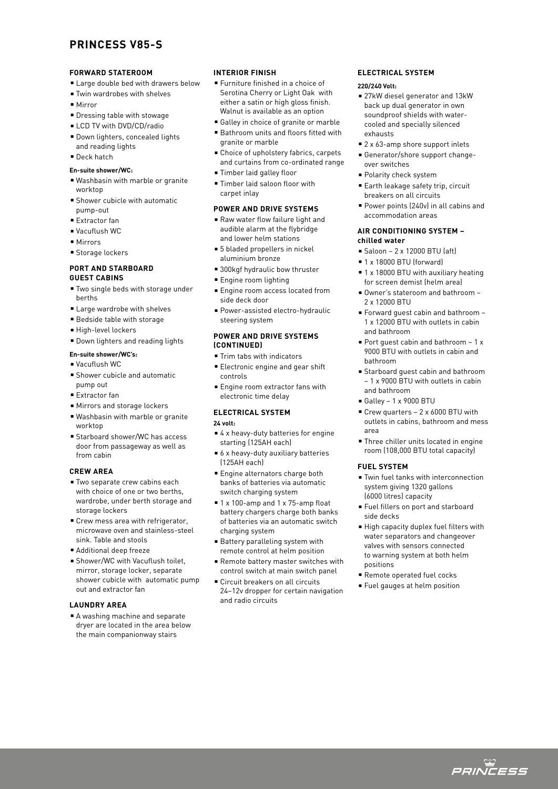# **PRINCESS V85-S**

### **FORWARD STATEROOM**

- Large double bed with drawers below
- Twin wardrobes with shelves
- $Mirror$
- **n** Dressing table with stowage
- **ELCD TV with DVD/CD/radio**
- **Down lighters, concealed lights** and reading lights
- Deck hatch

#### **En-suite shower/WC:**

- Washbasin with marble or granite worktop
- **Shower cubicle with automatic** pump-out
- Extractor fan
- <sup>n</sup> Vacuflush WC
- $Mirrons$
- Storage lockers

#### **PORT AND STARBOARD GUEST CABINS**

- Two single beds with storage under berths
- Large wardrobe with shelves
- **Bedside table with storage**
- High-level lockers
- **Down lighters and reading lights**

#### **En-suite shower/WC's:**

- Vacuflush WC
- <sup>n</sup> Shower cubicle and automatic pump out
- Extractor fan
- Mirrors and storage lockers
- Washbasin with marble or granite worktop
- Starboard shower/WC has access door from passageway as well as from cabin

## **CREW AREA**

- Two separate crew cabins each with choice of one or two berths, wardrobe, under berth storage and storage lockers
- **Exercise Crew mess area with refrigerator.** microwave oven and stainless-steel sink. Table and stools
- Additional deep freeze
- **Bower/WC with Vacuflush toilet** mirror, storage locker, separate shower cubicle with automatic pump out and extractor fan

#### **LAUNDRY AREA**

<sup>n</sup> A washing machine and separate dryer are located in the area below the main companionway stairs

## **INTERIOR FINISH**

- <sup>n</sup> Furniture finished in a choice of Serotina Cherry or Light Oak with either a satin or high gloss finish. Walnut is available as an option
- Galley in choice of granite or marble
- <sup>n</sup> Bathroom units and floors fitted with granite or marble
- Choice of upholstery fabrics, carpets and curtains from co-ordinated range
- Timber laid galley floor
- Timber laid saloon floor with carpet inlay

#### **POWER AND DRIVE SYSTEMS**

- Raw water flow failure light and audible alarm at the flybridge and lower helm stations
- 5 bladed propellers in nickel aluminium bronze
- 300kgf hydraulic bow thruster
- **Engine room lighting**
- <sup>n</sup> Engine room access located from side deck door
- Power-assisted electro-hydraulic steering system

### **POWER AND DRIVE SYSTEMS (CONTINUED)**

- **F** Trim tabs with indicators
- **Electronic engine and gear shift** controls
- Engine room extractor fans with electronic time delay

# **ELECTRICAL SYSTEM**

### **24 volt:**

- 4 x heavy-duty batteries for engine starting (125AH each)
- $\bullet$  6 x heavy-duty auxiliary batteries (125AH each)
- Engine alternators charge both banks of batteries via automatic switch charging system
- $\blacksquare$  1 x 100-amp and 1 x 75-amp float battery chargers charge both banks of batteries via an automatic switch charging system
- Battery paralleling system with remote control at helm position
- Remote battery master switches with control switch at main switch panel
- Circuit breakers on all circuits 24–12v dropper for certain navigation and radio circuits

#### **ELECTRICAL SYSTEM**

#### **220/240 Volt:**

- 27kW diesel generator and 13kW back up dual generator in own soundproof shields with watercooled and specially silenced exhausts
- 2 x 63-amp shore support inlets
- Generator/shore support changeover switches
- Polarity check system
- Earth leakage safety trip, circuit breakers on all circuits
- Power points (240v) in all cabins and accommodation areas

### **AIR CONDITIONING SYSTEM – chilled water**

- $Saloon 2 \times 12000$  BTU (aft)
- $\blacksquare$  1 x 18000 BTU (forward)
- 1 x 18000 BTU with auxiliary heating for screen demist (helm area)
- Owner's stateroom and bathroom 2 x 12000 BTU
- <sup>n</sup> Forward guest cabin and bathroom 1 x 12000 BTU with outlets in cabin and bathroom
- Port quest cabin and bathroom  $-1x$ 9000 BTU with outlets in cabin and bathroom
- <sup>n</sup> Starboard guest cabin and bathroom – 1 x 9000 BTU with outlets in cabin and bathroom
- <sup>n</sup> Galley 1 x 9000 BTU
- Crew quarters 2 x 6000 BTU with outlets in cabins, bathroom and mess area
- **Three chiller units located in engine** room (108,000 BTU total capacity)

## **FUEL SYSTEM**

- **Twin fuel tanks with interconnection** system giving 1320 gallons (6000 litres) capacity
- <sup>n</sup> Fuel fillers on port and starboard side decks
- <sup>n</sup> High capacity duplex fuel filters with water separators and changeover valves with sensors connected to warning system at both helm positions
- Remote operated fuel cocks
- <sup>n</sup> Fuel gauges at helm position